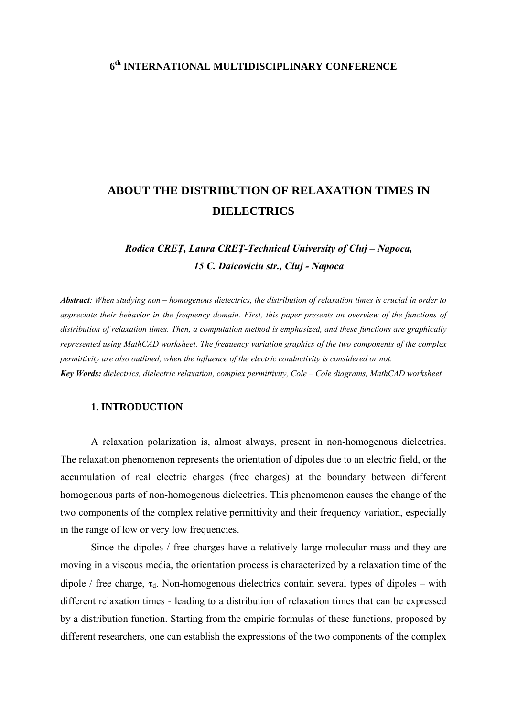# **6th INTERNATIONAL MULTIDISCIPLINARY CONFERENCE**

# **ABOUT THE DISTRIBUTION OF RELAXATION TIMES IN DIELECTRICS**

*Rodica CREŢ, Laura CREŢ-Technical University of Cluj – Napoca, 15 C. Daicoviciu str., Cluj - Napoca* 

*Abstract: When studying non – homogenous dielectrics, the distribution of relaxation times is crucial in order to appreciate their behavior in the frequency domain. First, this paper presents an overview of the functions of distribution of relaxation times. Then, a computation method is emphasized, and these functions are graphically represented using MathCAD worksheet. The frequency variation graphics of the two components of the complex permittivity are also outlined, when the influence of the electric conductivity is considered or not. Key Words: dielectrics, dielectric relaxation, complex permittivity, Cole – Cole diagrams, MathCAD worksheet* 

## **1. INTRODUCTION**

A relaxation polarization is, almost always, present in non-homogenous dielectrics. The relaxation phenomenon represents the orientation of dipoles due to an electric field, or the accumulation of real electric charges (free charges) at the boundary between different homogenous parts of non-homogenous dielectrics. This phenomenon causes the change of the two components of the complex relative permittivity and their frequency variation, especially in the range of low or very low frequencies.

Since the dipoles / free charges have a relatively large molecular mass and they are moving in a viscous media, the orientation process is characterized by a relaxation time of the dipole / free charge,  $\tau_d$ . Non-homogenous dielectrics contain several types of dipoles – with different relaxation times - leading to a distribution of relaxation times that can be expressed by a distribution function. Starting from the empiric formulas of these functions, proposed by different researchers, one can establish the expressions of the two components of the complex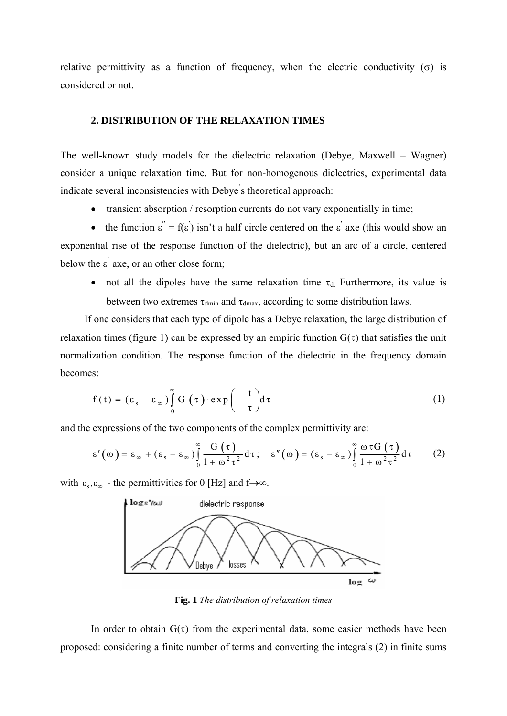relative permittivity as a function of frequency, when the electric conductivity ( $\sigma$ ) is considered or not.

## **2. DISTRIBUTION OF THE RELAXATION TIMES**

The well-known study models for the dielectric relaxation (Debye, Maxwell – Wagner) consider a unique relaxation time. But for non-homogenous dielectrics, experimental data indicate several inconsistencies with Debye' s theoretical approach:

• transient absorption / resorption currents do not vary exponentially in time;

• the function  $\varepsilon'' = f(\varepsilon')$  isn't a half circle centered on the  $\varepsilon'$  axe (this would show an exponential rise of the response function of the dielectric), but an arc of a circle, centered below the  $\varepsilon'$  axe, or an other close form;

• not all the dipoles have the same relaxation time  $\tau_d$ . Furthermore, its value is between two extremes  $\tau_{\text{dmin}}$  and  $\tau_{\text{dmax}}$ , according to some distribution laws.

If one considers that each type of dipole has a Debye relaxation, the large distribution of relaxation times (figure 1) can be expressed by an empiric function  $G(\tau)$  that satisfies the unit normalization condition. The response function of the dielectric in the frequency domain becomes:

$$
f(t) = (\varepsilon_s - \varepsilon_\infty) \int_0^\infty G(\tau) \cdot \exp\left(-\frac{t}{\tau}\right) d\tau
$$
 (1)

and the expressions of the two components of the complex permittivity are:

$$
\varepsilon'(\omega) = \varepsilon_{\infty} + (\varepsilon_{s} - \varepsilon_{\infty}) \int_{0}^{\infty} \frac{G(\tau)}{1 + \omega^{2} \tau^{2}} d\tau; \quad \varepsilon''(\omega) = (\varepsilon_{s} - \varepsilon_{\infty}) \int_{0}^{\infty} \frac{\omega \tau G(\tau)}{1 + \omega^{2} \tau^{2}} d\tau \qquad (2)
$$

with  $\varepsilon_{\rm s}, \varepsilon_{\rm s}$  - the permittivities for 0 [Hz] and f→∞.



**Fig. 1** *The distribution of relaxation times* 

In order to obtain  $G(\tau)$  from the experimental data, some easier methods have been proposed: considering a finite number of terms and converting the integrals (2) in finite sums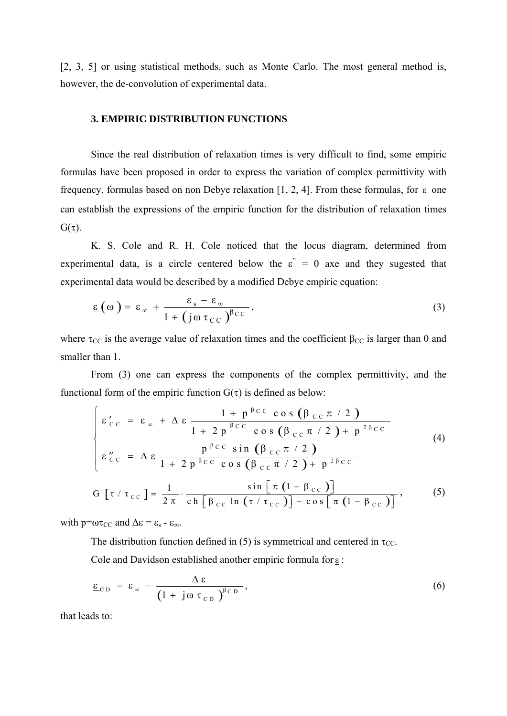[2, 3, 5] or using statistical methods, such as Monte Carlo. The most general method is, however, the de-convolution of experimental data.

## **3. EMPIRIC DISTRIBUTION FUNCTIONS**

Since the real distribution of relaxation times is very difficult to find, some empiric formulas have been proposed in order to express the variation of complex permittivity with frequency, formulas based on non Debye relaxation [1, 2, 4]. From these formulas, for  $\epsilon$  one can establish the expressions of the empiric function for the distribution of relaxation times  $G(\tau)$ .

K. S. Cole and R. H. Cole noticed that the locus diagram, determined from experimental data, is a circle centered below the  $\varepsilon$ <sup>"</sup> = 0 axe and they sugested that experimental data would be described by a modified Debye empiric equation:

$$
\underline{\epsilon}(\omega) = \epsilon_{\infty} + \frac{\epsilon_{s} - \epsilon_{\infty}}{1 + (j\omega \tau_{CC})^{\beta_{CC}}},
$$
\n(3)

where  $\tau_{CC}$  is the average value of relaxation times and the coefficient  $\beta_{CC}$  is larger than 0 and smaller than 1.

From (3) one can express the components of the complex permittivity, and the functional form of the empiric function  $G(\tau)$  is defined as below:

$$
\begin{cases}\n\epsilon'_{\text{CC}} = \epsilon_{\infty} + \Delta \epsilon \frac{1 + p^{\beta \text{CC}} \cos (\beta_{\text{CC}} \pi / 2)}{1 + 2 p^{\beta \text{CC}} \cos (\beta_{\text{CC}} \pi / 2) + p^{2 \beta \text{CC}}} \\
\epsilon''_{\text{CC}} = \Delta \epsilon \frac{p^{\beta \text{CC}} \sin (\beta_{\text{CC}} \pi / 2)}{1 + 2 p^{\beta \text{CC}} \cos (\beta_{\text{CC}} \pi / 2) + p^{2 \beta \text{CC}}} \\
G [\tau / \tau_{\text{CC}}] = \frac{1}{2 \pi} \cdot \frac{\sin [\pi (1 - \beta_{\text{CC}})]}{\text{ch} [\beta_{\text{CC}} \ln (\tau / \tau_{\text{CC}})] - \cos [\pi (1 - \beta_{\text{CC}})]},\n\end{cases} (5)
$$

with  $p=\omega\tau_{CC}$  and  $\Delta \varepsilon = \varepsilon_s - \varepsilon_{\infty}$ .

The distribution function defined in (5) is symmetrical and centered in  $\tau_{CC}$ .

Cole and Davidson established another empiric formula for ε :

$$
\underline{\epsilon}_{CD} = \epsilon_{\infty} - \frac{\Delta \epsilon}{\left(1 + j\omega \tau_{CD}\right)^{\beta CD}}, \tag{6}
$$

that leads to: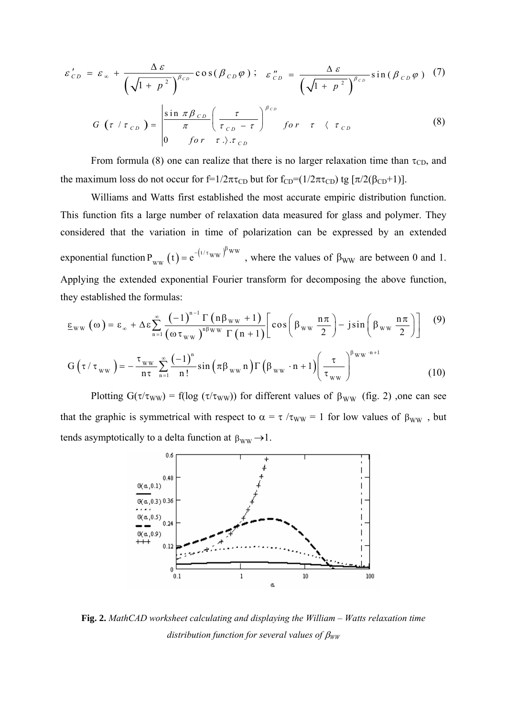$$
\varepsilon'_{CD} = \varepsilon_{\infty} + \frac{\Delta \varepsilon}{\left(\sqrt{1 + p^2}\right)^{\beta_{CD}}} \cos(\beta_{CD}\varphi); \quad \varepsilon''_{CD} = \frac{\Delta \varepsilon}{\left(\sqrt{1 + p^2}\right)^{\beta_{CD}}} \sin(\beta_{CD}\varphi)
$$
 (7)

$$
G\left(\tau \mid \tau_{CD}\right) = \begin{vmatrix} \sin \pi \beta_{CD} \\ \pi \\ 0 \end{vmatrix} \left(\frac{\tau}{\tau_{CD} - \tau}\right)^{\beta_{CD}} \quad for \quad \tau \quad \langle \tau_{CD} \tag{8}
$$

From formula (8) one can realize that there is no larger relaxation time than  $\tau_{CD}$ , and the maximum loss do not occur for f=1/2πτ<sub>CD</sub> but for f<sub>CD</sub>=(1/2πτ<sub>CD</sub>) tg [ $\pi/2(\beta_{CD}+1)$ ].

Williams and Watts first established the most accurate empiric distribution function. This function fits a large number of relaxation data measured for glass and polymer. They considered that the variation in time of polarization can be expressed by an extended exponential function  $P_{ww}(t) = e^{-(t/\tau_{ww})^{\mu_{ww}}}$ , where the values of  $P_{WW}(t) = e$  $= e^{-(t/\tau_{WW})^{\beta_{WW}}}$ , where the values of  $\beta_{WW}$  are between 0 and 1. Applying the extended exponential Fourier transform for decomposing the above function, they established the formulas:

$$
\underline{\epsilon}_{WW}(\omega) = \epsilon_{\infty} + \Delta \epsilon \sum_{n=1}^{\infty} \frac{(-1)^{n-1} \Gamma(n \beta_{WW} + 1)}{(\omega \tau_{WW})^{n \beta_{WW}} \Gamma(n+1)} \Bigg[ \cos \left( \beta_{WW} \frac{n \pi}{2} \right) - j \sin \left( \beta_{WW} \frac{n \pi}{2} \right) \Bigg] \tag{9}
$$
  

$$
G(\tau / \tau_{WW}) = -\frac{\tau_{WW}}{n \tau} \sum_{n=1}^{\infty} \frac{(-1)^n}{n!} \sin \left( \pi \beta_{WW} n \right) \Gamma \left( \beta_{WW} \cdot n + 1 \right) \Bigg( \frac{\tau}{\tau_{WW}} \Bigg)^{\beta_{WW} \cdot n+1} \tag{10}
$$

Plotting  $G(\tau/\tau_{WW}) = f(\log(\tau/\tau_{WW}))$  for different values of  $\beta_{WW}$  (fig. 2), one can see that the graphic is symmetrical with respect to  $\alpha = \tau / \tau_{WW} = 1$  for low values of  $\beta_{WW}$ , but tends asymptotically to a delta function at  $\beta_{WW} \rightarrow 1$ .



**Fig. 2.** *MathCAD worksheet calculating and displaying the William – Watts relaxation time distribution function for several values of* β*WW*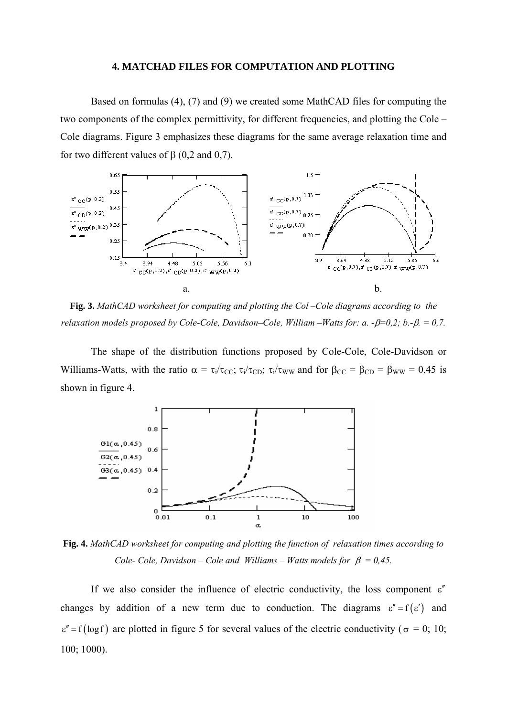### **4. MATCHAD FILES FOR COMPUTATION AND PLOTTING**

Based on formulas (4), (7) and (9) we created some MathCAD files for computing the two components of the complex permittivity, for different frequencies, and plotting the Cole – Cole diagrams. Figure 3 emphasizes these diagrams for the same average relaxation time and for two different values of β (0,2 and 0,7).



**Fig. 3.** *MathCAD worksheet for computing and plotting the Col –Cole diagrams according to the relaxation models proposed by Cole-Cole, Davidson–Cole, William –Watts for: a. -*β*=0,2; b.-*β*. = 0,7.* 

The shape of the distribution functions proposed by Cole-Cole, Cole-Davidson or Williams-Watts, with the ratio  $\alpha = \tau_i/\tau_{CC}$ ;  $\tau_i/\tau_{CD}$ ;  $\tau_i/\tau_{WW}$  and for  $\beta_{CC} = \beta_{CD} = \beta_{WW} = 0.45$  is shown in figure 4.



**Fig. 4.** *MathCAD worksheet for computing and plotting the function of relaxation times according to Cole- Cole, Davidson – Cole and Williams – Watts models for*  $\beta = 0.45$ .

If we also consider the influence of electric conductivity, the loss component  $\varepsilon''$ changes by addition of a new term due to conduction. The diagrams  $\varepsilon'' = f(\varepsilon')$  and  $\varepsilon'' = f(\log f)$  are plotted in figure 5 for several values of the electric conductivity ( $\sigma = 0$ ; 10; 100; 1000).